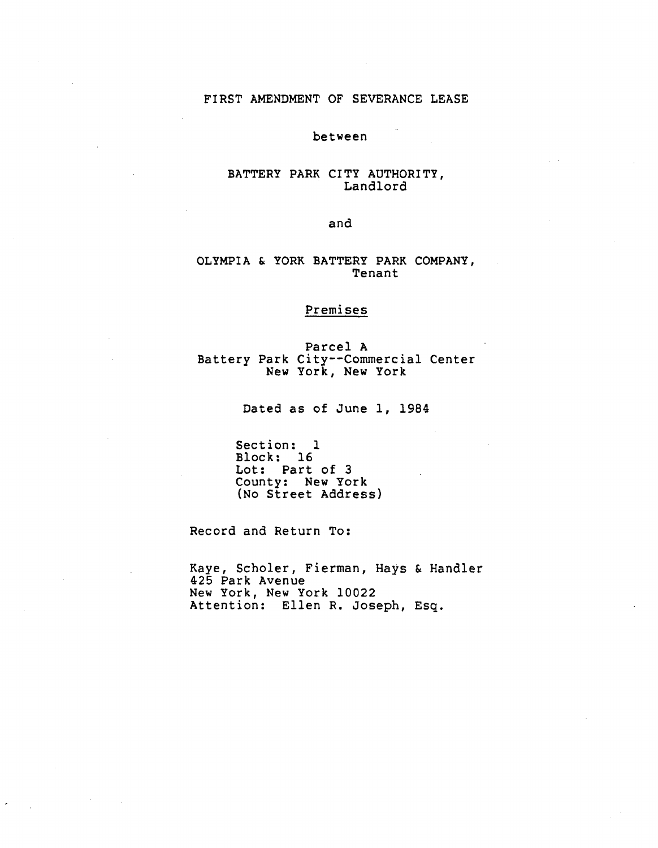# F**I**RST AMEN**D**MENT OF SEVERANCE LEASE

between

# BATTERY PARK CITY AUTHORITY, Landlord

## and

# OLYMPIA & YORK BATTERY PARK COMPANY, Tenant

# Premises

Parcel A Battery Park City--Commercial Center New York, New York

Dated as of June i, 1984

Section: 1 Block: 16 Lot: Part of 3 County: New York (No Street Address)

Record and Return To:

Kaye, Scholer, Fierman, Hays & Handler 425 Park Avenue New York, New York 10022 Attention: Ellen R. Joseph, Esq.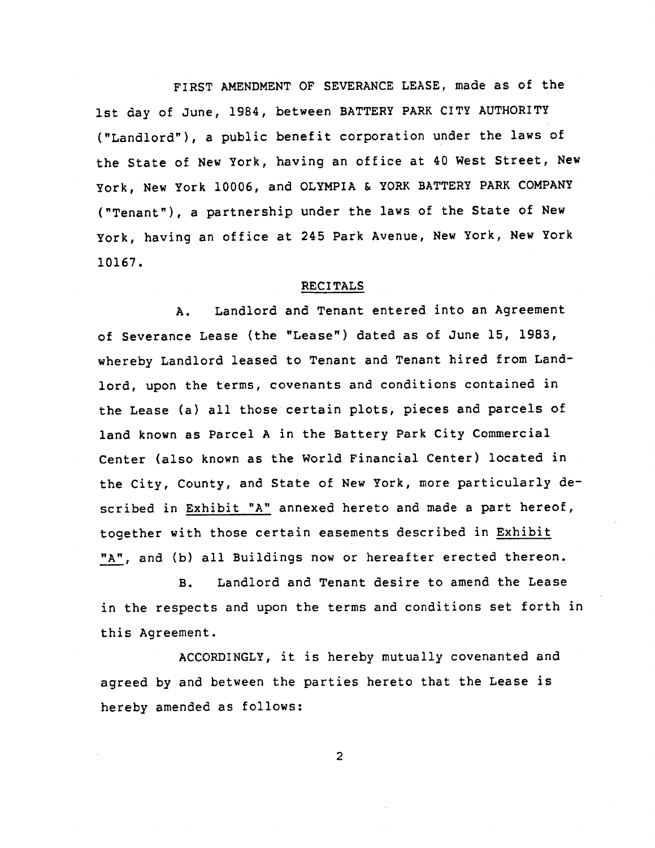FIRST AMENDMENT OF SEVERANCE LEASE, made as of the ist day of June, 1984, between BATTERY PARK CITY AUTHORITY ("Landlord"), a public benefit corporation under the laws of the State of New York, having an office at 40 West Street, New York, New York 10006, and OLYMPIA & YORK BATTERY PARK COMPANY ("Tenant"), a partnership under the laws of the State of New York, having an office at 245 Park Avenue, New York, New York 10167.

#### RECITALS

A. Landlord and Tenant entered into an Agreement of Severance Lease (the "Lease") dated as of June 15, 1983, whereby Landlord leased to Tenant and Tenant hired from Landlord, upon the terms, covenants and conditions contained in the Lease (a) all those certain plots, pieces and parcels of land known as Parcel A in the Battery Park City Commercial Center (also known as the World Financial Center) located in the City, County, and State of New York, more particularly described in Exhibit "A" annexed hereto and made a part hereof, **t**ogether with **t**hose certain easements described in Exhibit "A", and (b) all Buildings now or hereafter erected thereon.

B. Landlord and Tenant desire to amend the Lease in the respects and upon the terms and conditions set forth in this Agreement.

ACCORDINGLY, it is hereby mutually covenanted and agreed by and between the parties hereto that the Lease is hereby amended as follows:

2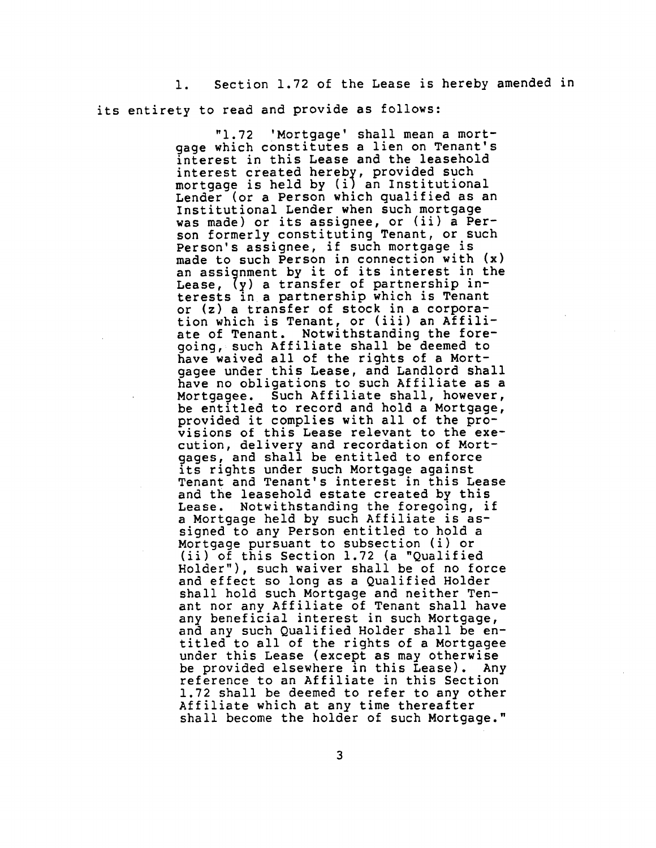i. Section 1.72 of the Lease is hereby amended in its entirety to read and provide as follows:

> "1.72 'Mortgage' shall mean a mort-<br>gage which constitutes a lien on Tenant's gage which constitutes a lien on Tenant's interest in this Lease and the leasehold interest created hereby, provided such mortgage is held by (i) an Institutional Lender (or a Person which qualified as an Institutional Lender when such mortgage was made) or its assignee, or (ii) a Person formerly constituting Tenant, or such Person's assignee, if such mortgage is made to such Person in connection with (x) an assignment by it of its interest in the<br>Lease,  $(y)$  a transfer of partnership in-Lease, (7) a transfer of partnership interests in a partnership which is Tenan or (z) a transfer of stock in a corporation which is Tenant, or (111) an Affili ate of Tenant. Notwithstanding the foregoing, such Affiliate shall be deemed to have waived all of the rights of a Mortgagee under this Lease, and Landlord shall have no obligations to such Affiliate as a Mortgagee. Such Affiliate shall, however, be entitled to record and hold a Mortgage, provided it complies with all of the provisions of this Lease relevant to the execution, delivery and recordation of Mortgages, and shall be entitled to enforce its rights under such Mortgage against Tenant and Tenant's interest in this Lease and the leasehold estate created by this Lease. Notwithstanding the foregoing, if a Mortgage held by such Affiliate is assigned to any Person entitled to hold a Mortgage pursuant to subsection (i) or (ii) of this Section 1.72 (a "Qualified Holder"), such waiver shall be of no force and effect so long as a Qualified Holder shall hold such Mortgage and neither Tenant nor any Affiliate of Tenant shall have any beneficial interest in such Mortgage, and any such Qualified Holder shall be entitled to all of the rights of a Mortgagee<br>under this Lease (except as may otherwise under this Lease (except as may otherwise be provided elsewhere \_n this Lease). Any reference to an Affiliate in this Section 1.72 shall be deemed to refer to any other Affiliate which at any time thereafter shall become the holder of such Mortgage."

> > 3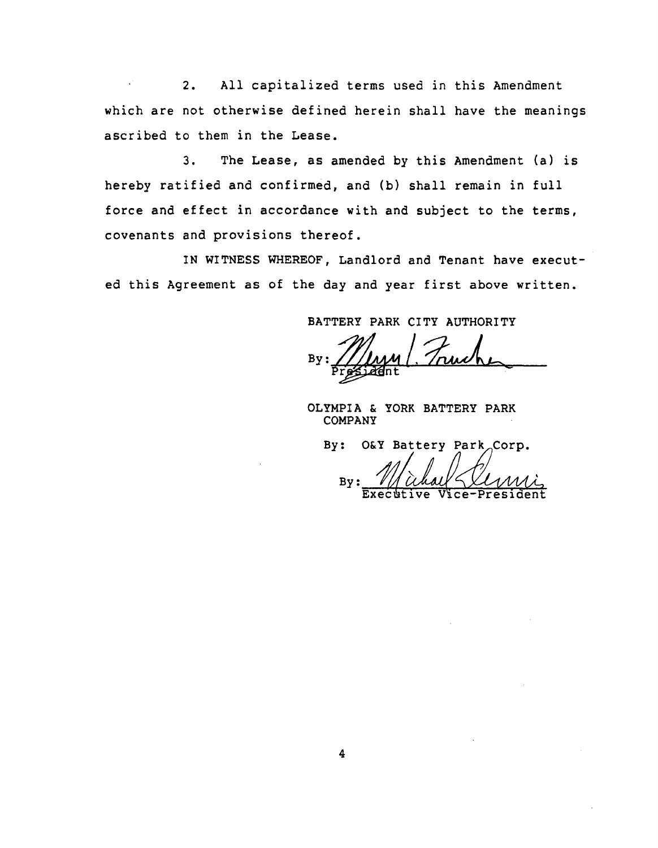2. All capitalized terms used in this Amendment which are not otherwise defined herein shall have the meanings ascribed to them in the Lease.

3. The Lease, as amended by this Amendment (a) is hereby ratified and confirmed, and (b) shall remain in full force and effect in accordance with and subject to the terms, covenants and provisions thereof.

IN WITNESS WHEREOF, Landlord and Tenant have executed this Agreement as of the day and year first above written.

BATTERY PARK CITY AUTHORITY

By programme

OLYMPIA & YORK BATTERY PARK COMPANY

By: O&Y Battery Park\_Corp. By Executive Vice-Presid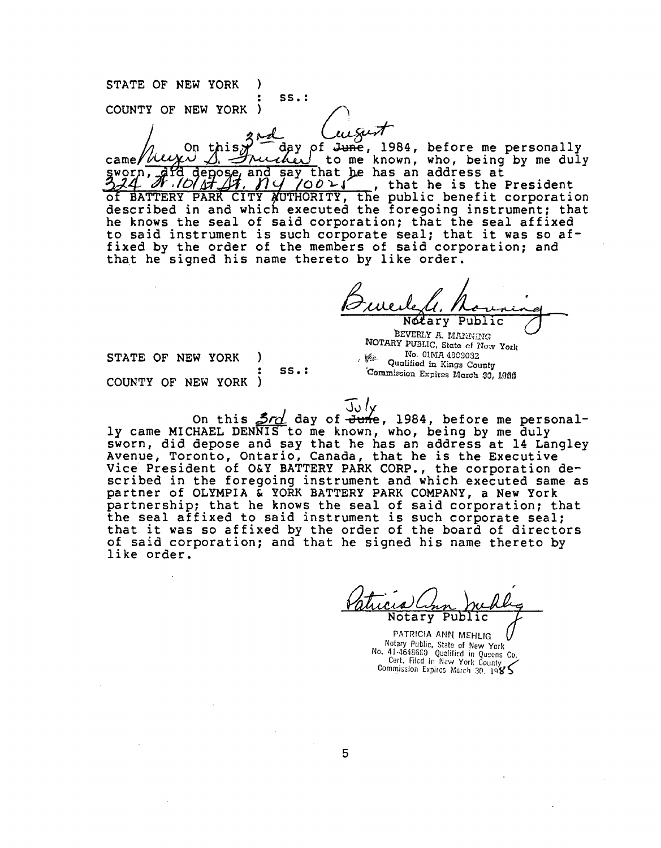**: Ss**.**:** COUNTY OF NEW YORK  $\ell$ / $\ell$ came/ $\frac{\partial}{\partial s}$   $\frac{\partial}{\partial t}$   $\frac{\partial}{\partial s}$   $\frac{\partial}{\partial t}$  to me known, who, being by me duly  $\frac{d}{dt}$  depose, and say that he has an address at  $\frac{d}{dt}$  .  $\frac{d}{dt}$  ,  $\frac{d}{dt}$  ,  $\frac{d}{dt}$  , that he is the President  $\frac{1}{2}$ of BATTERY PARK CITY AUTHORITY, the public benefit corporation described in and which executed the foregoing instrument; that he knows the seal of said corporation; that the seal affixed to said instrument is such corporate seal; that it was so affixed by the order of the members of said corporation; and that he signed his name thereto by like order.

Notary Public

BEVERLY A. MARINING **NOTARY PUBLIC, State cf** No. Vork base No. 01MA 4803032 SS.: Commission Expires March 30, 1986

STATE OF NEW YORK ) and the second of the Country of the Country of the Country of the Country of the Country of the Country of the Country of the Country of the Country of the Country of the Country of the Country of the COUNTY OF NEW YORK

STAT**E** OF N**E**W YORK )

On this  $\frac{3r}{d}$  day of  $\frac{3r}{d}$  1984, before me personally came MICHAEL DENNIS to me known, who, being by me duly sworn, did depose and say that he has an address at 14 Langley Avenue, Toronto, Ontario, Canada, that he is the Executive Vice President of O&Y BATTERY PARK CORP., the corporation described in the foregoing instrument and which executed same as partner of OLYMPIA & YORK BATTERY PARK COMPANY, a New York partnership; that he knows the seal of said corporation; that the seal affixed to said instrument is such corporate seal; that it was so affixed by the order of the board of directors of said corporation; and that he signed his name thereto by like order.

Notary Public

PATRICIA ANN MEHLIG Notary Publi**c**, State of New York No. 41-4648680 Qualified in Queens Co. Cert. Filed in New York County Commission Expires March 30.  $1985$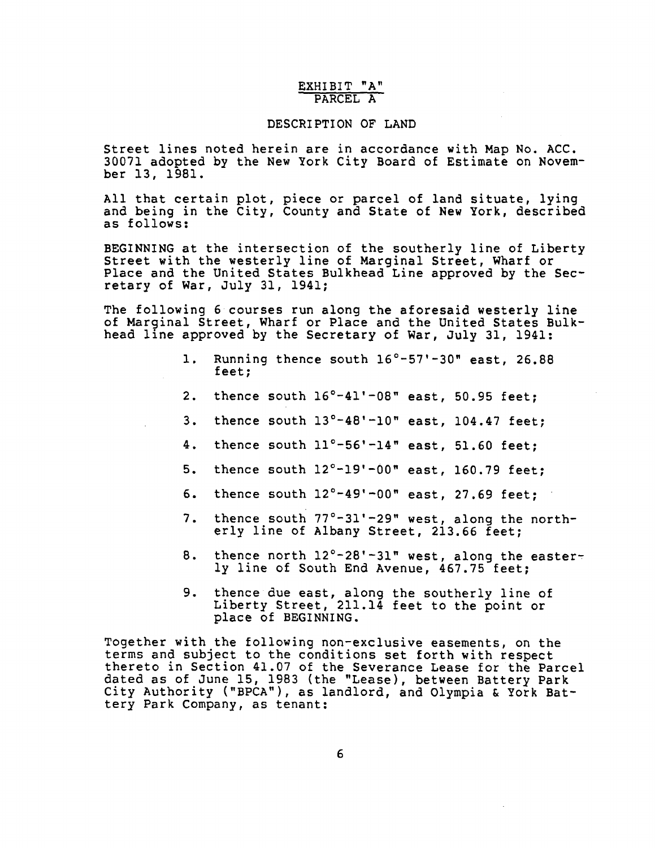# EXHIBIT "A" PARCEL A

## DESCRIPTION OF LAND

Street lines noted herein are in accordance with Map No. ACC. 30071 adopted by the New York City Board of Estimate on November 13, 1981.

All that certain plot, piece or parcel of land situate, lying and being in the City, County and State of New York, described as follows:

BEGINNING at the intersection of the southerly line of Libert Street with the westerly line of Marginal Street, Wharf or Place and the United States Bulkhead Line approved by the Secretary of War, July 31, 1941;

The following 6 courses run along the aforesaid westerly line of Marginal Street, Wharf or Place and the United States Bulkhead line approved by the Secretary of War, July 31, 1941:

- I. Running thence south 16°-57'-30" east, 26.88 feet;
- 2. thence south 16**°**-41'-08" east, 50.95 feet;
- 3. thence south 13**°**-48'-10" east, 104.47 feet;
- 4. thence south 11**°**-56'-14" east, 51.60 feet;
- 5. thence south 12**°**-19'-00" east, 160.79 feet;
- 6. thence south 12**°**-49'-00" east, 27.69 feet;
- 7. thence south 77**°**-31'-29" west, along the northerly line of Albany Street, 213.66 feet;
- 8. thence north 12**°**-28'-31" west, along the easterly line of South End Avenue, 467.75 feet;
- 9. thence due east, along the southerly line of Liberty Street, 211.14 feet to the point or place of BEGINNING.

Together with the following non-exclusive easements, on the terms and subject to the conditions set forth with respect thereto in Section 41.07 of the Severance Lease for the Parcel dated as of June 15, 1983 (the "Lease), between Battery Park City Authority ("BPCA"), as landlord, and Olympia & York Battery Park Company, as tenant: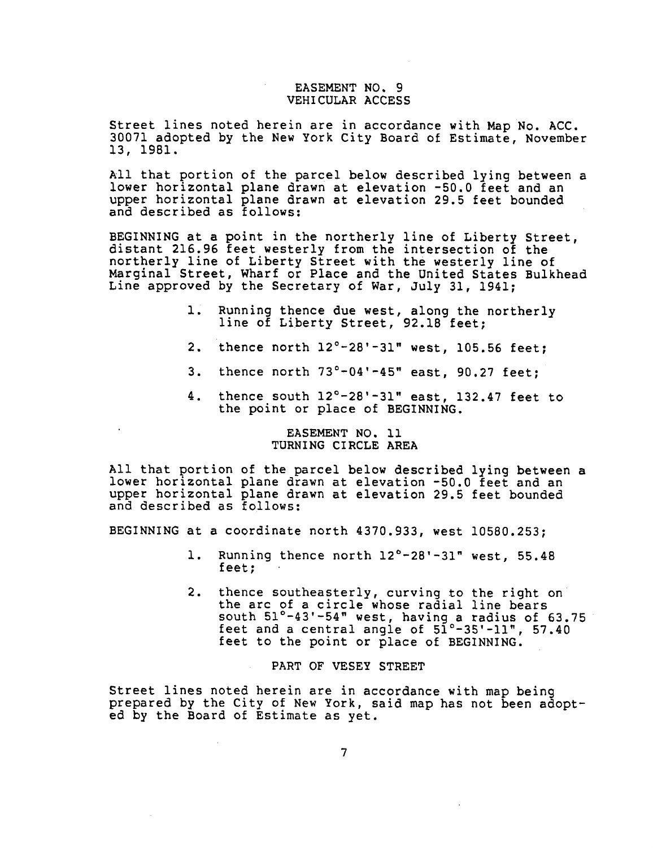# EASEMENT NO. 9 VEHICULAR ACCESS

Street lines noted herein are in accordance with Map No. ACC. 30071 adopted by the New York City Board of Estimate, November 13, 1981.

All that portion of the parcel below described lying between a lower horizontal plane drawn at elevation -50.0 feet and an upper horizontal plane drawn at elevation 29.5 feet bounded and described as follows:

BEGINNING at a point in the northerly line of Liberty Street, distant 216.96 feet westerly from the intersection of the northerly line of Liberty Street with the westerly line of Marginal Street, Wharf or Place and the United States Bulkhead Line approved by the Secretary of War, July 31, 1941;

- i. Running thence due west, along the northerly line of Liberty Street, 92.18 feet;
- 2. thence north 12°-28'-31" west, 105.56 feet;
- 3. thence north  $73^{\circ}-04'$ -45" east, 90.27 feet;
- 4. thence south 12**°**-28'-31 " east, 132.47 feet to the point or place of BEGINNING.

# EASEMENT NO. ii TURNING CIRCLE AREA

All that portion of the parcel below described lying between a lower horizontal plane drawn at elevation -50.0 feet and an upper horizontal plane drawn at elevation 29.5 feet bounded and described as follows:

BEGINNING at a coordinate north 4370.933, west 10580.253;

- i. Running thence north 12**°**-28'-31" west, 55.48 feet;
- 2. thence southeasterly, curving to the right on the arc of a circle whose radial line bears south 51**°**-43'-54" west, having a radius of 63.75 • feet and a central angle of 51°-35'-11" , 57.40 feet to the point or place of BEGINNING.

## PART OF VESEY STREET

Street lines noted herein are in accordance with map being prepared by the City of New York, said map has not been adopted by the Board of Estimate as yet.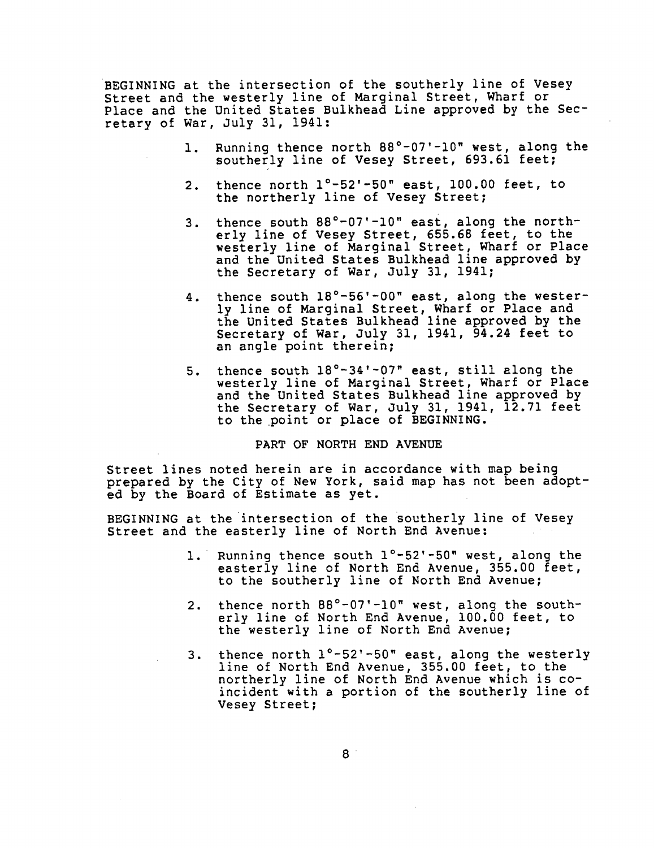BEG**I**NNING at the intersection of the southerly line of Vesey Street and the westerly line of Marginal Street, Wharf or Place and the United States Bulkhead Line approved by the Secretary of War, July 31, 1941:

- i. Running thence north 88°-07'-10" west, along the southerly line of Vesey Street, 693.61 feet;
- 2. thence north 1°-52'-50" east, 100.00 feet, to the northerly line of Vesey Street;
- 3. thence south 88°-07'-10" east, along the northerly line of Vesey Street, 655.68 feet, to the westerly line of Marginal Street, Wharf or Place and the United States Bulkhead line approved by the Secretary of War, July 31, 1941;
- 4. thence south 18°-56'-00" east, along the westerly line of Marg**i**nal Street, Wharf or Place and the United States Bulkhead line approved by the Secretary of War, July 31, 1941, 94.24 feet to an angle point therein;
- 5. thence south 18°-34'-07" east, still along the westerly line of Marginal Street, Wharf or Place and the United States Bulkhead line approved by the Secretary of War, July **3**1, 1941, 12.71 feet to the point or place of BEGINNING.

# PART OF NORTH END AVENUE

Street lines noted herein are in accordance with map being prepared by the City of New York, said map has not been adopted by the Board of Estimate as yet.

BEGINNING at the intersection of the southerly line of Vesey Street and the easterly line of North End Avenue:

- i. Running thence south l**°**-52'-50" west, along the easterly line of North End Avenue, 355.00 feet, to the southerly line of North End Avenue;
- 2. thence north 88°-07'-10" west, along the southerly line of North End Avenue, 100.00 feet, to the westerly line of North End Avenue;
- 3. thence north 1°-52'-50" east, along the westerly line of North End Avenue, 355.00 feet, to the northerly line of North End Avenue which is coincident with a portion of the southerly line of Vesey Street;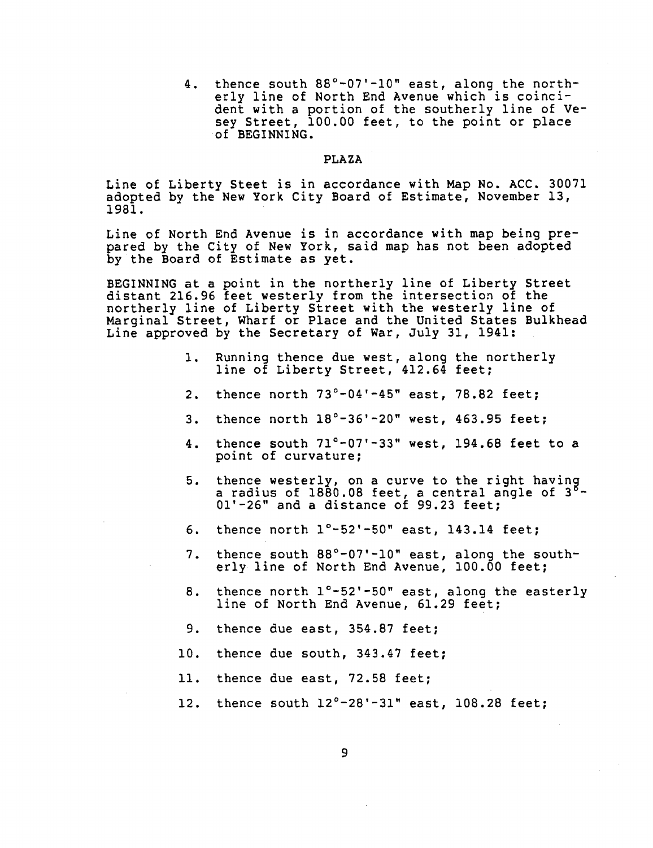4. thence south 88°-07'-i0" east, along the northerly line of North End Avenue which is coincident with a portion of the southerly line of Vesey Street, 100.00 feet, to the point or place of BEGINNING.

# **P**LAZA

Line of Liberty Steet is in accordance with Map No. ACC. 30071 adopted by the New York City Board of Estimate, November 13, 1981.

Line of North End Avenue is in accordance with map being prepared by the City of New York, said map has not been adopted by the Board of Estimate as yet.

BEGINNING at a point in the northerly line of Liberty Street distant 216.96 feet westerly from the intersection of the northerly line of Liberty Street with the westerly line of Marginal Street, Wharf or Place and the United States Bulkhead Line approved by the Secretary of War, July 31, 1941:

- 1. Running thence due west, along the northerly line of Liberty Street, 412.64 feet;
- 2. thence north 73**°**-04'-45" east, 78.82 feet;
- 3. thence north 18**°**-36'-20" west, 463.95 feet;
- 4. thence south  $71^{\circ}$ -07'-33" west, 194.68 feet to a point of curvature;
- $\frac{1}{3}$  a radius of 1880.08 feet, a central angle of  $3^{8}$ -01'-26" and a distance of 99.23 feet;
- 6. thence north 1°-52'-50" east, 143.14 feet;
- 7. thence s**o**uth 88°-**0**7'-I**0"** east, along the southerly. line of North End Avenue, 100.00 feet;
- 8. thence north l°-52'-50" east, along the easterly line of North End Avenue, 61.29 feet;
- 9. thence due east, 354.87 feet;
- 10. thence due south, 343.47 feet;
- 11. thence due east, 72.58 feet;
- 12. thence south 12°-28'-31" east, 108.28 feet;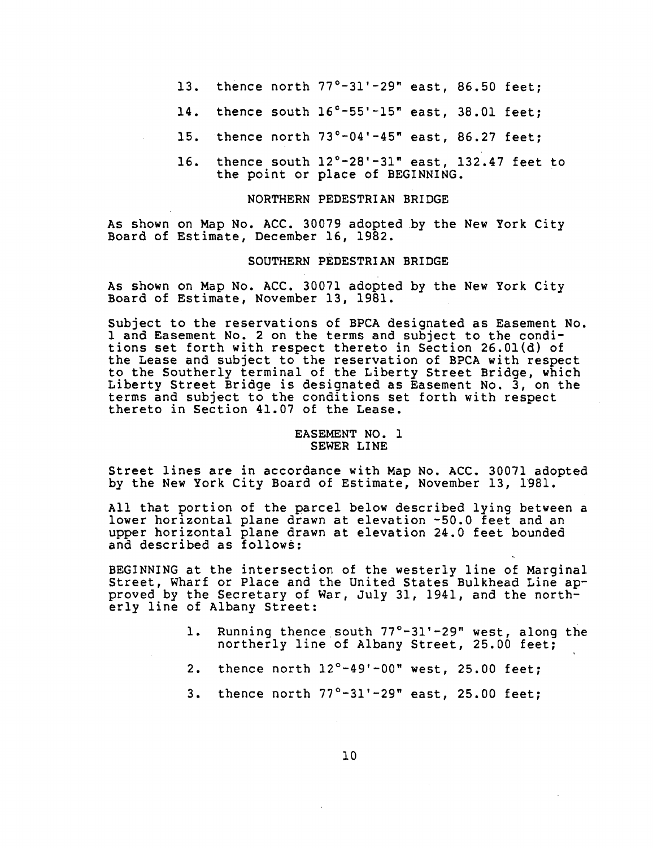- 13. thence north 77°-31'-29" east, 86.50 feet;
- 14. thence south 16**°**-55'-15" east, 38.01 feet;
- 15. thence north 73**o**-04'-45" east, 86.27 feet;
- 16. thence south 12**°**-28'-31" east, 132.47 feet to the point or place of BEGINNING.

#### NORTHERN PEDESTRIAN BRIDGE

As shown on Map No. ACC. 30079 adopted by the New York City Board of Estimate, December 16, 1982.

#### SOUTH**E**RN P**EDE**S**T**R**I**AN BRI**D**G**E**

As sh**o**wn on Map No. ACC. 30071 adopted by the New Y**o**rk Ci**t**y B**o**ard **o**f Estimate, N**o**vember 13, 1981.

Subject to the reservati**o**ns **o**f BPCA designated as Easemen**t** No. 1 an**d E**asement N**o**. 2 on the terms and subject to the c**o**nditions set forth w**i**th respect thereto in Section 26.01(d) of the Lease and sub**j**ec**t** to the reservation **o**f BPCA with respect **t**o **t**he Southerly terminal **o**f the Liberty Street Bridge, which L**i**ber**t**y Street Bridge is designated as Easement No. 3, **o**n the terms and subject to the condi**t**ions set forth with respect thereto in Section **4**1.07 of the Lease.

# **E**ASEMENT NO. 1 SEWER LINE

Street lines are **i**n acc**o**rdance wi**t**h Map No. ACC. 30071 adopted by the New Y**o**rk City B**o**ard of Estimate, N**o**vember 13, 1981.

All that portion of the parcel below described lying bet**w**een a lower horizontal plane drawn at elevation -50.0 feet and an upper horizontal plane drawn a**t** eleva**t**ion 24.0 feet bounded and described as foll**o**ws:

BEGINNING at the intersection of the westerly l**i**ne **o**f Marginal Street, Wharf or Place and the United States Bulkhead Line approved by the Secretary of War, July 31, 19**4**1, and the northerly l**i**ne of Albany Street:

- i. Runn**i**ng thence south 77°-31'-29 " west, along the northerly line of Albany Street, 25.00 feet;
- 2. thence north 12°-49'-00" west, 25.00 feet;
- 3. thence north 77**°**-31'-29" east, 25.00 feet;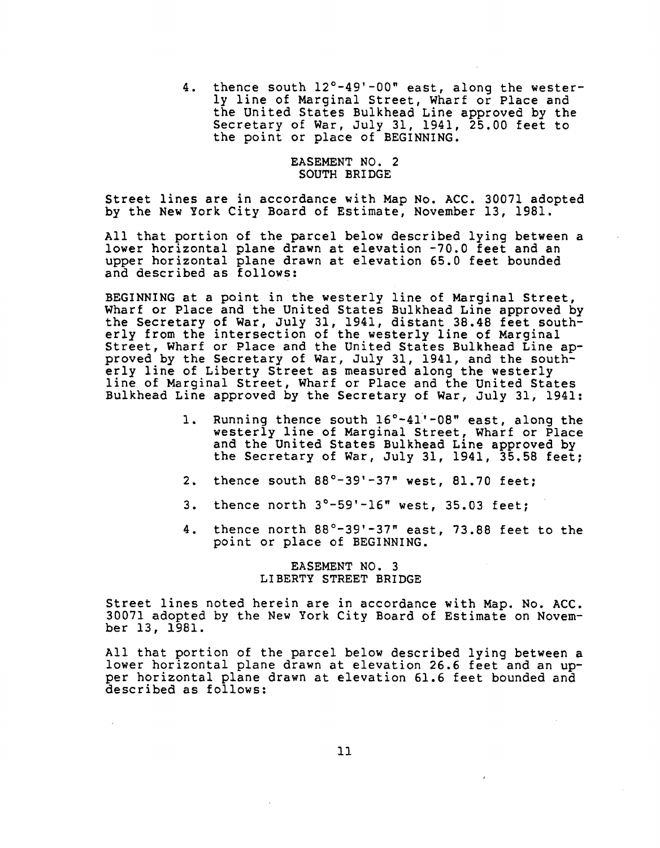4. thence south 12°-49'-00" east, along the westerly line of Marginal Street, Wharf or Place and the United States Bulkhead Line approved by the Secretary of War, July 31, 1941, 25.00 feet to the point or place of BEGINNING.

### EASEMENT NO. 2 SOUTH BRIDGE

Street lines are in accordance with Map No. ACC. 30071 adopted by the New York City Board of Estimate, November 13, 1981.

All that portion of the parcel below described lying between a lower horizontal plane drawn at elevation -70.0 feet and an upper horizontal plane drawn at elevation 65.0 feet bounded and described as follows:

BEGINNING at a point in the westerly line of Marginal Street, Wharf or Place and the United States Bulkhead Line approved by the Secretary of War, July 31, 1941, distant 38.48 feet southerly from the intersection of the westerly line of Marginal Street, Wharf or Place and the United States Bulkhead Line approved by the Secretary of War, July 31, 1941, and the southerly line of Liberty Street as measured along the westerly line of Marginal Street, Wharf or Place and the United States Bulkhead Line approved by the Secretary of War, July 31, 1941:

- i. Running thence south 16°-41'-08" east, along the westerly line of Marginal Street, Wharf or Place and the United States Bulkhead Line approved by the Secretary of War, July 31, 1941, 35.58 feet;
- 2. thence south 88**o**-39'-37 " west, 81.70 feet;
- 3. thence north 3°-59'-16" west, 35.03 feet;
- 4. thence north  $88^\circ$ -39'-37" east, 73.88 feet to the point or place of BEGINNING.

#### EASEMENT NO. 3 LIBERTY STREET BRIDGE

Street lines noted herein are in accordance with Map. No. ACC. 30071 adopted by the New York City Board of Estimate on November 13, 1981.

All that portion of the parcel below described lying between a lower horizontal plane drawn at elevation 26.6 feet and an upper horizontal plane drawn at elevation 61.6 feet bounded and described as follows: